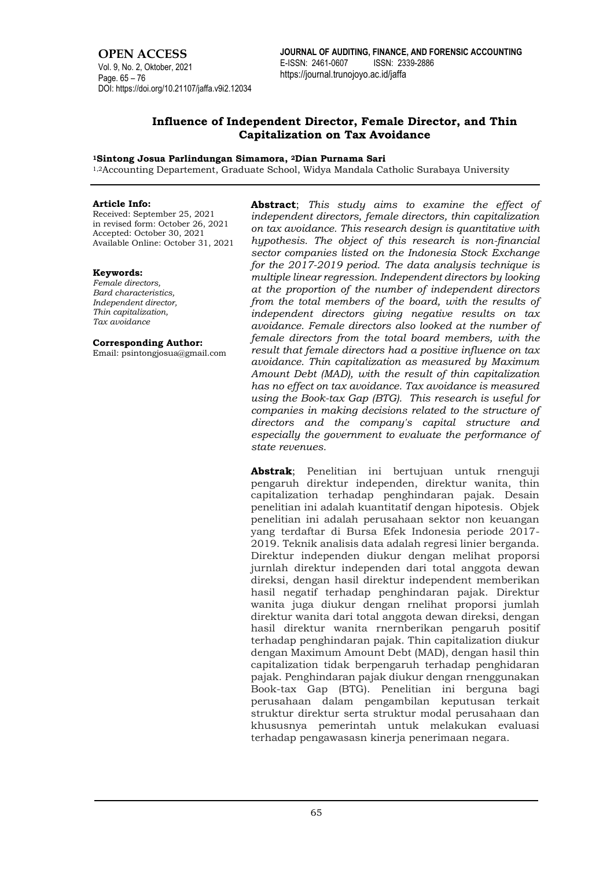# **OPEN ACCESS**

Vol. 9, No. 2, Oktober, 2021 Page. 65 – 76 DOI: https://doi.org/10.21107/jaffa.v9i2.12034

# **Influence of Independent Director, Female Director, and Thin Capitalization on Tax Avoidance**

## **<sup>1</sup>Sintong Josua Parlindungan Simamora, <sup>2</sup>Dian Purnama Sari**

1,2Accounting Departement, Graduate School, Widya Mandala Catholic Surabaya University

#### **Article Info:**

Received: September 25, 2021 in revised form: October 26, 2021 Accepted: October 30, 2021 Available Online: October 31, 2021

## **Keywords:**

*Female directors, Bard characteristics, Independent director, Thin capitalization, Tax avoidance*

#### **Corresponding Author:**

Email: psintongjosua@gmail.com

**Abstract**; *This study aims to examine the effect of independent directors, female directors, thin capitalization on tax avoidance. This research design is quantitative with hypothesis. The object of this research is non-financial sector companies listed on the Indonesia Stock Exchange for the 2017-2019 period. The data analysis technique is multiple linear regression. Independent directors by looking at the proportion of the number of independent directors from the total members of the board, with the results of independent directors giving negative results on tax avoidance. Female directors also looked at the number of female directors from the total board members, with the result that female directors had a positive influence on tax avoidance. Thin capitalization as measured by Maximum Amount Debt (MAD), with the result of thin capitalization has no effect on tax avoidance. Tax avoidance is measured using the Book-tax Gap (BTG). This research is useful for companies in making decisions related to the structure of directors and the company's capital structure and especially the government to evaluate the performance of state revenues.*

**Abstrak**; Penelitian ini bertujuan untuk rnenguji pengaruh direktur independen, direktur wanita, thin capitalization terhadap penghindaran pajak. Desain penelitian ini adalah kuantitatif dengan hipotesis. Objek penelitian ini adalah perusahaan sektor non keuangan yang terdaftar di Bursa Efek Indonesia periode 2017- 2019. Teknik analisis data adalah regresi linier berganda. Direktur independen diukur dengan melihat proporsi jurnlah direktur independen dari total anggota dewan direksi, dengan hasil direktur independent memberikan hasil negatif terhadap penghindaran pajak. Direktur wanita juga diukur dengan rnelihat proporsi jumlah direktur wanita dari total anggota dewan direksi, dengan hasil direktur wanita rnernberikan pengaruh positif terhadap penghindaran pajak. Thin capitalization diukur dengan Maximum Amount Debt (MAD), dengan hasil thin capitalization tidak berpengaruh terhadap penghidaran pajak. Penghindaran pajak diukur dengan rnenggunakan Book-tax Gap (BTG). Penelitian ini berguna bagi perusahaan dalam pengambilan keputusan terkait struktur direktur serta struktur modal perusahaan dan khususnya pemerintah untuk melakukan evaluasi terhadap pengawasasn kinerja penerimaan negara.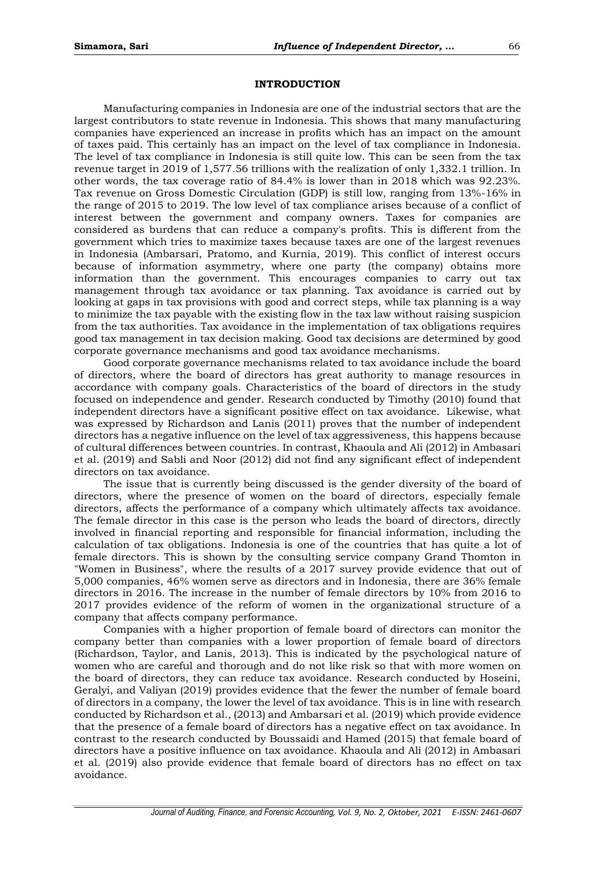#### **INTRODUCTION**

Manufacturing companies in Indonesia are one of the industrial sectors that are the largest contributors to state revenue in Indonesia. This shows that many manufacturing companies have experienced an increase in profits which has an impact on the amount of taxes paid. This certainly has an impact on the level of tax compliance in Indonesia. The level of tax compliance in Indonesia is still quite low. This can be seen from the tax revenue target in 2019 of 1,577.56 trillions with the realization of only 1,332.1 trillion. In other words, the tax coverage ratio of 84.4% is lower than in 2018 which was 92.23%. Tax revenue on Gross Domestic Circulation (GDP) is still low, ranging from 13%-16% in the range of 2015 to 2019. The low level of tax compliance arises because of a conflict of interest between the government and company owners. Taxes for companies are considered as burdens that can reduce a company's profits. This is different from the government which tries to maximize taxes because taxes are one of the largest revenues in Indonesia (Ambarsari, Pratomo, and Kurnia, 2019). This conflict of interest occurs because of information asymmetry, where one party (the company) obtains more information than the government. This encourages companies to carry out tax management through tax avoidance or tax planning. Tax avoidance is carried out by looking at gaps in tax provisions with good and correct steps, while tax planning is a way to minimize the tax payable with the existing flow in the tax law without raising suspicion from the tax authorities. Tax avoidance in the implementation of tax obligations requires good tax management in tax decision making. Good tax decisions are determined by good corporate governance mechanisms and good tax avoidance mechanisms.

Good corporate governance mechanisms related to tax avoidance include the board of directors, where the board of directors has great authority to manage resources in accordance with company goals. Characteristics of the board of directors in the study focused on independence and gender. Research conducted by Timothy (2010) found that independent directors have a significant positive effect on tax avoidance. Likewise, what was expressed by Richardson and Lanis (2011) proves that the number of independent directors has a negative influence on the level of tax aggressiveness, this happens because of cultural differences between countries. In contrast, Khaoula and Ali (2012) in Ambasari et al. (2019) and Sabli and Noor (2012) did not find any significant effect of independent directors on tax avoidance.

The issue that is currently being discussed is the gender diversity of the board of directors, where the presence of women on the board of directors, especially female directors, affects the performance of a company which ultimately affects tax avoidance. The female director in this case is the person who leads the board of directors, directly involved in financial reporting and responsible for financial information, including the calculation of tax obligations. Indonesia is one of the countries that has quite a lot of female directors. This is shown by the consulting service company Grand Thomton in "Women in Business", where the results of a 2017 survey provide evidence that out of 5,000 companies, 46% women serve as directors and in Indonesia, there are 36% female directors in 2016. The increase in the number of female directors by 10% from 2016 to 2017 provides evidence of the reform of women in the organizational structure of a company that affects company performance.

Companies with a higher proportion of female board of directors can monitor the company better than companies with a lower proportion of female board of directors (Richardson, Taylor, and Lanis, 2013). This is indicated by the psychological nature of women who are careful and thorough and do not like risk so that with more women on the board of directors, they can reduce tax avoidance. Research conducted by Hoseini, Geralyi, and Valiyan (2019) provides evidence that the fewer the number of female board of directors in a company, the lower the level of tax avoidance. This is in line with research conducted by Richardson et al., (2013) and Ambarsari et al. (2019) which provide evidence that the presence of a female board of directors has a negative effect on tax avoidance. In contrast to the research conducted by Boussaidi and Hamed (2015) that female board of directors have a positive influence on tax avoidance. Khaoula and Ali (2012) in Ambasari et al. (2019) also provide evidence that female board of directors has no effect on tax avoidance.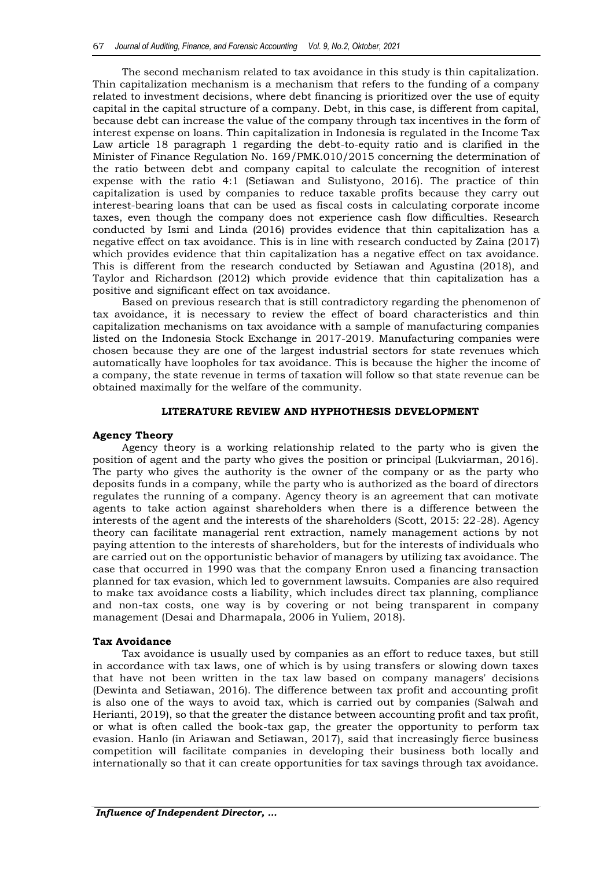The second mechanism related to tax avoidance in this study is thin capitalization. Thin capitalization mechanism is a mechanism that refers to the funding of a company related to investment decisions, where debt financing is prioritized over the use of equity capital in the capital structure of a company. Debt, in this case, is different from capital, because debt can increase the value of the company through tax incentives in the form of interest expense on loans. Thin capitalization in Indonesia is regulated in the Income Tax Law article 18 paragraph 1 regarding the debt-to-equity ratio and is clarified in the Minister of Finance Regulation No. 169/PMK.010/2015 concerning the determination of the ratio between debt and company capital to calculate the recognition of interest expense with the ratio 4:1 (Setiawan and Sulistyono, 2016). The practice of thin capitalization is used by companies to reduce taxable profits because they carry out interest-bearing loans that can be used as fiscal costs in calculating corporate income taxes, even though the company does not experience cash flow difficulties. Research conducted by Ismi and Linda (2016) provides evidence that thin capitalization has a negative effect on tax avoidance. This is in line with research conducted by Zaina (2017) which provides evidence that thin capitalization has a negative effect on tax avoidance. This is different from the research conducted by Setiawan and Agustina (2018), and Taylor and Richardson (2012) which provide evidence that thin capitalization has a positive and significant effect on tax avoidance.

Based on previous research that is still contradictory regarding the phenomenon of tax avoidance, it is necessary to review the effect of board characteristics and thin capitalization mechanisms on tax avoidance with a sample of manufacturing companies listed on the Indonesia Stock Exchange in 2017-2019. Manufacturing companies were chosen because they are one of the largest industrial sectors for state revenues which automatically have loopholes for tax avoidance. This is because the higher the income of a company, the state revenue in terms of taxation will follow so that state revenue can be obtained maximally for the welfare of the community.

## **LITERATURE REVIEW AND HYPHOTHESIS DEVELOPMENT**

# **Agency Theory**

Agency theory is a working relationship related to the party who is given the position of agent and the party who gives the position or principal (Lukviarman, 2016). The party who gives the authority is the owner of the company or as the party who deposits funds in a company, while the party who is authorized as the board of directors regulates the running of a company. Agency theory is an agreement that can motivate agents to take action against shareholders when there is a difference between the interests of the agent and the interests of the shareholders (Scott, 2015: 22-28). Agency theory can facilitate managerial rent extraction, namely management actions by not paying attention to the interests of shareholders, but for the interests of individuals who are carried out on the opportunistic behavior of managers by utilizing tax avoidance. The case that occurred in 1990 was that the company Enron used a financing transaction planned for tax evasion, which led to government lawsuits. Companies are also required to make tax avoidance costs a liability, which includes direct tax planning, compliance and non-tax costs, one way is by covering or not being transparent in company management (Desai and Dharmapala, 2006 in Yuliem, 2018).

## **Tax Avoidance**

Tax avoidance is usually used by companies as an effort to reduce taxes, but still in accordance with tax laws, one of which is by using transfers or slowing down taxes that have not been written in the tax law based on company managers' decisions (Dewinta and Setiawan, 2016). The difference between tax profit and accounting profit is also one of the ways to avoid tax, which is carried out by companies (Salwah and Herianti, 2019), so that the greater the distance between accounting profit and tax profit, or what is often called the book-tax gap, the greater the opportunity to perform tax evasion. Hanlo (in Ariawan and Setiawan, 2017), said that increasingly fierce business competition will facilitate companies in developing their business both locally and internationally so that it can create opportunities for tax savings through tax avoidance.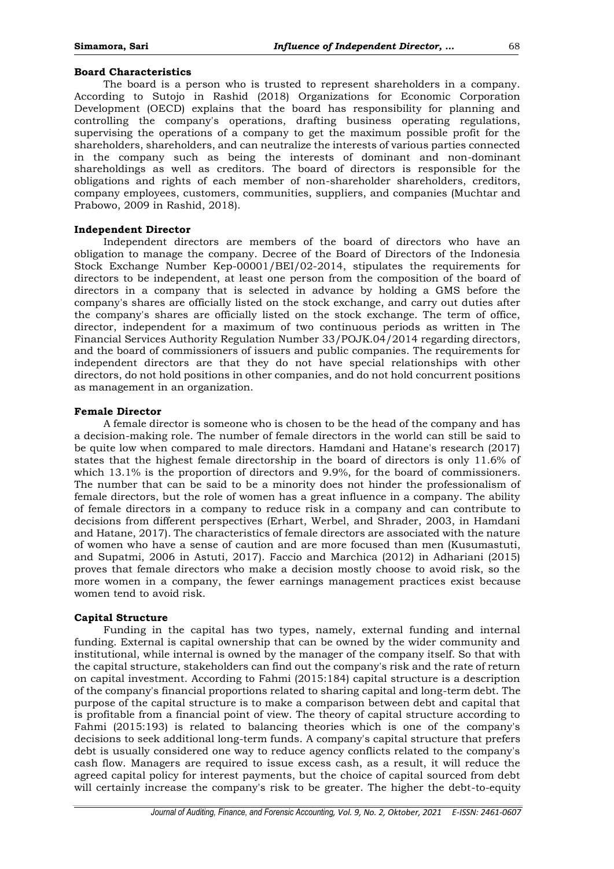## **Board Characteristics**

The board is a person who is trusted to represent shareholders in a company. According to Sutojo in Rashid (2018) Organizations for Economic Corporation Development (OECD) explains that the board has responsibility for planning and controlling the company's operations, drafting business operating regulations, supervising the operations of a company to get the maximum possible profit for the shareholders, shareholders, and can neutralize the interests of various parties connected in the company such as being the interests of dominant and non-dominant shareholdings as well as creditors. The board of directors is responsible for the obligations and rights of each member of non-shareholder shareholders, creditors, company employees, customers, communities, suppliers, and companies (Muchtar and Prabowo, 2009 in Rashid, 2018).

#### **Independent Director**

Independent directors are members of the board of directors who have an obligation to manage the company. Decree of the Board of Directors of the Indonesia Stock Exchange Number Kep-00001/BEI/02-2014, stipulates the requirements for directors to be independent, at least one person from the composition of the board of directors in a company that is selected in advance by holding a GMS before the company's shares are officially listed on the stock exchange, and carry out duties after the company's shares are officially listed on the stock exchange. The term of office, director, independent for a maximum of two continuous periods as written in The Financial Services Authority Regulation Number 33/POJK.04/2014 regarding directors, and the board of commissioners of issuers and public companies. The requirements for independent directors are that they do not have special relationships with other directors, do not hold positions in other companies, and do not hold concurrent positions as management in an organization.

## **Female Director**

A female director is someone who is chosen to be the head of the company and has a decision-making role. The number of female directors in the world can still be said to be quite low when compared to male directors. Hamdani and Hatane's research (2017) states that the highest female directorship in the board of directors is only 11.6% of which 13.1% is the proportion of directors and 9.9%, for the board of commissioners. The number that can be said to be a minority does not hinder the professionalism of female directors, but the role of women has a great influence in a company. The ability of female directors in a company to reduce risk in a company and can contribute to decisions from different perspectives (Erhart, Werbel, and Shrader, 2003, in Hamdani and Hatane, 2017). The characteristics of female directors are associated with the nature of women who have a sense of caution and are more focused than men (Kusumastuti, and Supatmi, 2006 in Astuti, 2017). Faccio and Marchica (2012) in Adhariani (2015) proves that female directors who make a decision mostly choose to avoid risk, so the more women in a company, the fewer earnings management practices exist because women tend to avoid risk.

## **Capital Structure**

Funding in the capital has two types, namely, external funding and internal funding. External is capital ownership that can be owned by the wider community and institutional, while internal is owned by the manager of the company itself. So that with the capital structure, stakeholders can find out the company's risk and the rate of return on capital investment. According to Fahmi (2015:184) capital structure is a description of the company's financial proportions related to sharing capital and long-term debt. The purpose of the capital structure is to make a comparison between debt and capital that is profitable from a financial point of view. The theory of capital structure according to Fahmi (2015:193) is related to balancing theories which is one of the company's decisions to seek additional long-term funds. A company's capital structure that prefers debt is usually considered one way to reduce agency conflicts related to the company's cash flow. Managers are required to issue excess cash, as a result, it will reduce the agreed capital policy for interest payments, but the choice of capital sourced from debt will certainly increase the company's risk to be greater. The higher the debt-to-equity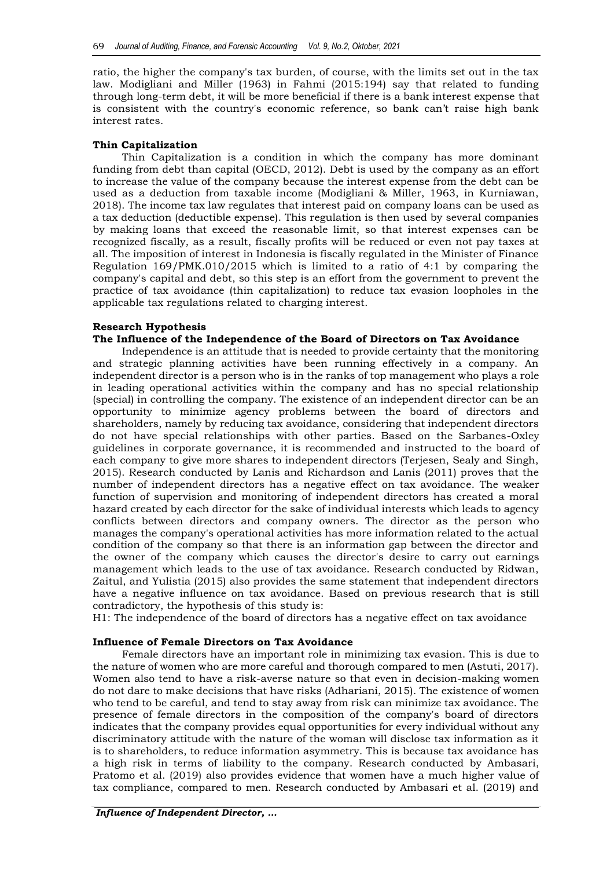ratio, the higher the company's tax burden, of course, with the limits set out in the tax law. Modigliani and Miller (1963) in Fahmi (2015:194) say that related to funding through long-term debt, it will be more beneficial if there is a bank interest expense that is consistent with the country's economic reference, so bank can't raise high bank interest rates.

## **Thin Capitalization**

Thin Capitalization is a condition in which the company has more dominant funding from debt than capital (OECD, 2012). Debt is used by the company as an effort to increase the value of the company because the interest expense from the debt can be used as a deduction from taxable income (Modigliani & Miller, 1963, in Kurniawan, 2018). The income tax law regulates that interest paid on company loans can be used as a tax deduction (deductible expense). This regulation is then used by several companies by making loans that exceed the reasonable limit, so that interest expenses can be recognized fiscally, as a result, fiscally profits will be reduced or even not pay taxes at all. The imposition of interest in Indonesia is fiscally regulated in the Minister of Finance Regulation 169/PMK.010/2015 which is limited to a ratio of 4:1 by comparing the company's capital and debt, so this step is an effort from the government to prevent the practice of tax avoidance (thin capitalization) to reduce tax evasion loopholes in the applicable tax regulations related to charging interest.

## **Research Hypothesis**

# **The Influence of the Independence of the Board of Directors on Tax Avoidance**

Independence is an attitude that is needed to provide certainty that the monitoring and strategic planning activities have been running effectively in a company. An independent director is a person who is in the ranks of top management who plays a role in leading operational activities within the company and has no special relationship (special) in controlling the company. The existence of an independent director can be an opportunity to minimize agency problems between the board of directors and shareholders, namely by reducing tax avoidance, considering that independent directors do not have special relationships with other parties. Based on the Sarbanes-Oxley guidelines in corporate governance, it is recommended and instructed to the board of each company to give more shares to independent directors (Terjesen, Sealy and Singh, 2015). Research conducted by Lanis and Richardson and Lanis (2011) proves that the number of independent directors has a negative effect on tax avoidance. The weaker function of supervision and monitoring of independent directors has created a moral hazard created by each director for the sake of individual interests which leads to agency conflicts between directors and company owners. The director as the person who manages the company's operational activities has more information related to the actual condition of the company so that there is an information gap between the director and the owner of the company which causes the director's desire to carry out earnings management which leads to the use of tax avoidance. Research conducted by Ridwan, Zaitul, and Yulistia (2015) also provides the same statement that independent directors have a negative influence on tax avoidance. Based on previous research that is still contradictory, the hypothesis of this study is:

H1: The independence of the board of directors has a negative effect on tax avoidance

## **Influence of Female Directors on Tax Avoidance**

Female directors have an important role in minimizing tax evasion. This is due to the nature of women who are more careful and thorough compared to men (Astuti, 2017). Women also tend to have a risk-averse nature so that even in decision-making women do not dare to make decisions that have risks (Adhariani, 2015). The existence of women who tend to be careful, and tend to stay away from risk can minimize tax avoidance. The presence of female directors in the composition of the company's board of directors indicates that the company provides equal opportunities for every individual without any discriminatory attitude with the nature of the woman will disclose tax information as it is to shareholders, to reduce information asymmetry. This is because tax avoidance has a high risk in terms of liability to the company. Research conducted by Ambasari, Pratomo et al. (2019) also provides evidence that women have a much higher value of tax compliance, compared to men. Research conducted by Ambasari et al. (2019) and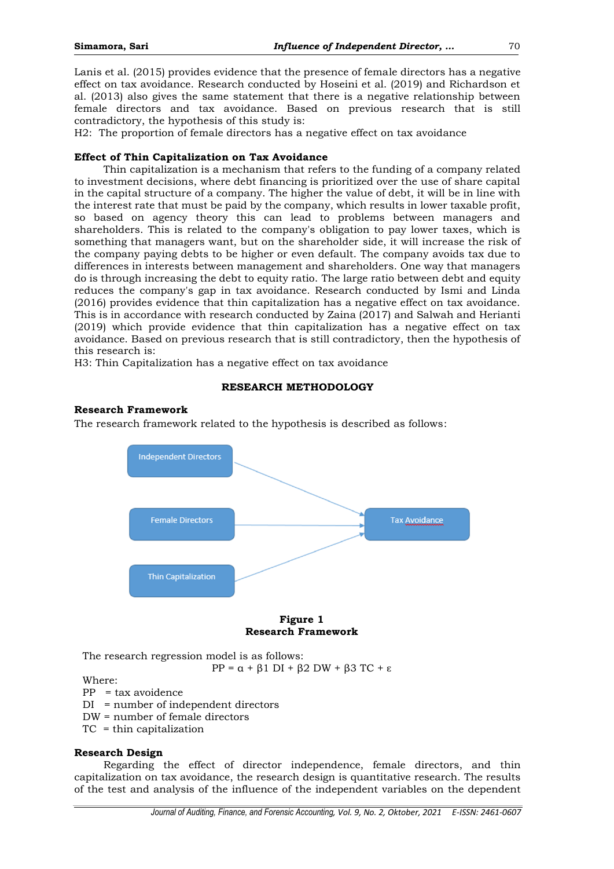Lanis et al. (2015) provides evidence that the presence of female directors has a negative effect on tax avoidance. Research conducted by Hoseini et al. (2019) and Richardson et al. (2013) also gives the same statement that there is a negative relationship between female directors and tax avoidance. Based on previous research that is still contradictory, the hypothesis of this study is:

H2: The proportion of female directors has a negative effect on tax avoidance

# **Effect of Thin Capitalization on Tax Avoidance**

Thin capitalization is a mechanism that refers to the funding of a company related to investment decisions, where debt financing is prioritized over the use of share capital in the capital structure of a company. The higher the value of debt, it will be in line with the interest rate that must be paid by the company, which results in lower taxable profit, so based on agency theory this can lead to problems between managers and shareholders. This is related to the company's obligation to pay lower taxes, which is something that managers want, but on the shareholder side, it will increase the risk of the company paying debts to be higher or even default. The company avoids tax due to differences in interests between management and shareholders. One way that managers do is through increasing the debt to equity ratio. The large ratio between debt and equity reduces the company's gap in tax avoidance. Research conducted by Ismi and Linda (2016) provides evidence that thin capitalization has a negative effect on tax avoidance. This is in accordance with research conducted by Zaina (2017) and Salwah and Herianti (2019) which provide evidence that thin capitalization has a negative effect on tax avoidance. Based on previous research that is still contradictory, then the hypothesis of this research is:

H3: Thin Capitalization has a negative effect on tax avoidance

# **RESEARCH METHODOLOGY**

# **Research Framework**

The research framework related to the hypothesis is described as follows:



## **Figure 1 Research Framework**

The research regression model is as follows:

PP =  $\alpha$  +  $\beta$ 1 DI +  $\beta$ 2 DW +  $\beta$ 3 TC + ε

Where:

PP = tax avoidence

- DI = number of independent directors
- DW = number of female directors
- TC = thin capitalization

# **Research Design**

Regarding the effect of director independence, female directors, and thin capitalization on tax avoidance, the research design is quantitative research. The results of the test and analysis of the influence of the independent variables on the dependent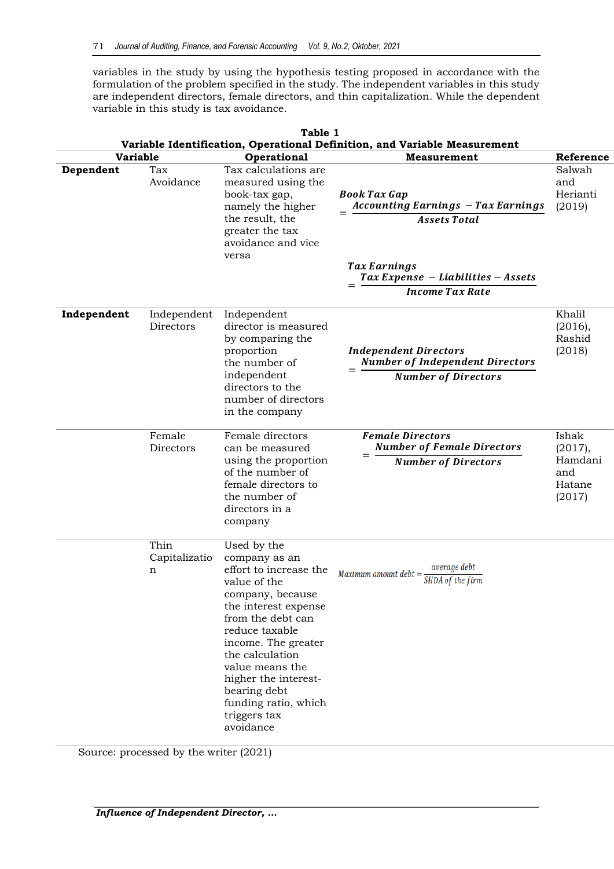variables in the study by using the hypothesis testing proposed in accordance with the formulation of the problem specified in the study. The independent variables in this study are independent directors, female directors, and thin capitalization. While the dependent variable in this study is tax avoidance.

| Table 1<br>Variable Identification, Operational Definition, and Variable Measurement |                            |                                                                                                                                                                                                                                                                                                                     |                                                                                                                                                                                                                     |                                                        |  |
|--------------------------------------------------------------------------------------|----------------------------|---------------------------------------------------------------------------------------------------------------------------------------------------------------------------------------------------------------------------------------------------------------------------------------------------------------------|---------------------------------------------------------------------------------------------------------------------------------------------------------------------------------------------------------------------|--------------------------------------------------------|--|
| <b>Variable</b>                                                                      |                            | Operational                                                                                                                                                                                                                                                                                                         | <b>Measurement</b>                                                                                                                                                                                                  | Reference                                              |  |
| Dependent                                                                            | Tax<br>Avoidance           | Tax calculations are<br>measured using the<br>book-tax gap,<br>namely the higher<br>the result, the<br>greater the tax<br>avoidance and vice<br>versa                                                                                                                                                               | <b>Book Tax Gap</b><br><b>Accounting Earnings - Tax Earnings</b><br><b>Assets Total</b><br><b>Tax Earnings</b><br>$\int \frac{1}{x} f(x) \, dx$ Tax Expense - Liabilities - Assets<br>$=$<br><b>Income Tax Rate</b> | Salwah<br>and<br>Herianti<br>(2019)                    |  |
| Independent                                                                          | Independent<br>Directors   | Independent<br>director is measured<br>by comparing the<br>proportion<br>the number of<br>independent<br>directors to the<br>number of directors<br>in the company                                                                                                                                                  | <b>Independent Directors</b><br><b>Number of Independent Directors</b><br><b>Number of Directors</b>                                                                                                                | Khalil<br>(2016),<br>Rashid<br>(2018)                  |  |
|                                                                                      | Female<br>Directors        | Female directors<br>can be measured<br>using the proportion<br>of the number of<br>female directors to<br>the number of<br>directors in a<br>company                                                                                                                                                                | <b>Female Directors</b><br><b>Number of Female Directors</b><br>$=$<br><b>Number of Directors</b>                                                                                                                   | Ishak<br>(2017),<br>Hamdani<br>and<br>Hatane<br>(2017) |  |
|                                                                                      | Thin<br>Capitalizatio<br>n | Used by the<br>company as an<br>effort to increase the<br>value of the<br>company, because<br>the interest expense<br>from the debt can<br>reduce taxable<br>income. The greater<br>the calculation<br>value means the<br>higher the interest-<br>bearing debt<br>funding ratio, which<br>triggers tax<br>avoidance | average debt<br>Maximum amount debt =<br>SHDA of the firm                                                                                                                                                           |                                                        |  |

Source: processed by the writer (2021)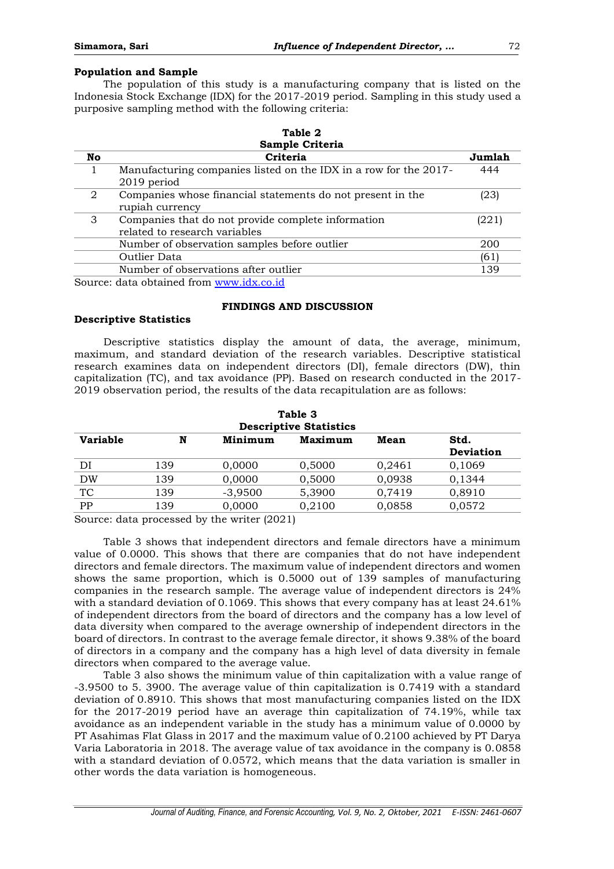# **Population and Sample**

The population of this study is a manufacturing company that is listed on the Indonesia Stock Exchange (IDX) for the 2017-2019 period. Sampling in this study used a purposive sampling method with the following criteria:

**Table 2**

|     | .                                                                                   |        |
|-----|-------------------------------------------------------------------------------------|--------|
|     | Sample Criteria                                                                     |        |
| No. | Criteria                                                                            | Jumlah |
|     | Manufacturing companies listed on the IDX in a row for the 2017-<br>2019 period     | 444    |
| 2   | Companies whose financial statements do not present in the<br>rupiah currency       | (23)   |
| 3   | Companies that do not provide complete information<br>related to research variables | (221)  |
|     | Number of observation samples before outlier                                        | 200    |
|     | Outlier Data                                                                        | (61)   |
|     | Number of observations after outlier                                                | 139    |
|     | Source: data obtained from www.idx.co.id                                            |        |

# **FINDINGS AND DISCUSSION**

## **Descriptive Statistics**

Descriptive statistics display the amount of data, the average, minimum, maximum, and standard deviation of the research variables. Descriptive statistical research examines data on independent directors (DI), female directors (DW), thin capitalization (TC), and tax avoidance (PP). Based on research conducted in the 2017- 2019 observation period, the results of the data recapitulation are as follows:

| Table 3<br><b>Descriptive Statistics</b> |     |           |         |        |                          |  |  |
|------------------------------------------|-----|-----------|---------|--------|--------------------------|--|--|
| <b>Variable</b>                          | N   | Minimum   | Maximum | Mean   | Std.<br><b>Deviation</b> |  |  |
| DI                                       | 139 | 0,0000    | 0,5000  | 0,2461 | 0,1069                   |  |  |
| DW                                       | 139 | 0,0000    | 0,5000  | 0,0938 | 0,1344                   |  |  |
| TC                                       | 139 | $-3,9500$ | 5,3900  | 0,7419 | 0,8910                   |  |  |
| PP                                       | 139 | 0,0000    | 0,2100  | 0,0858 | 0,0572                   |  |  |

Source: data processed by the writer (2021)

Table 3 shows that independent directors and female directors have a minimum value of 0.0000. This shows that there are companies that do not have independent directors and female directors. The maximum value of independent directors and women shows the same proportion, which is 0.5000 out of 139 samples of manufacturing companies in the research sample. The average value of independent directors is 24% with a standard deviation of 0.1069. This shows that every company has at least 24.61% of independent directors from the board of directors and the company has a low level of data diversity when compared to the average ownership of independent directors in the board of directors. In contrast to the average female director, it shows 9.38% of the board of directors in a company and the company has a high level of data diversity in female directors when compared to the average value.

Table 3 also shows the minimum value of thin capitalization with a value range of -3.9500 to 5. 3900. The average value of thin capitalization is 0.7419 with a standard deviation of 0.8910. This shows that most manufacturing companies listed on the IDX for the 2017-2019 period have an average thin capitalization of 74.19%, while tax avoidance as an independent variable in the study has a minimum value of 0.0000 by PT Asahimas Flat Glass in 2017 and the maximum value of 0.2100 achieved by PT Darya Varia Laboratoria in 2018. The average value of tax avoidance in the company is 0.0858 with a standard deviation of 0.0572, which means that the data variation is smaller in other words the data variation is homogeneous.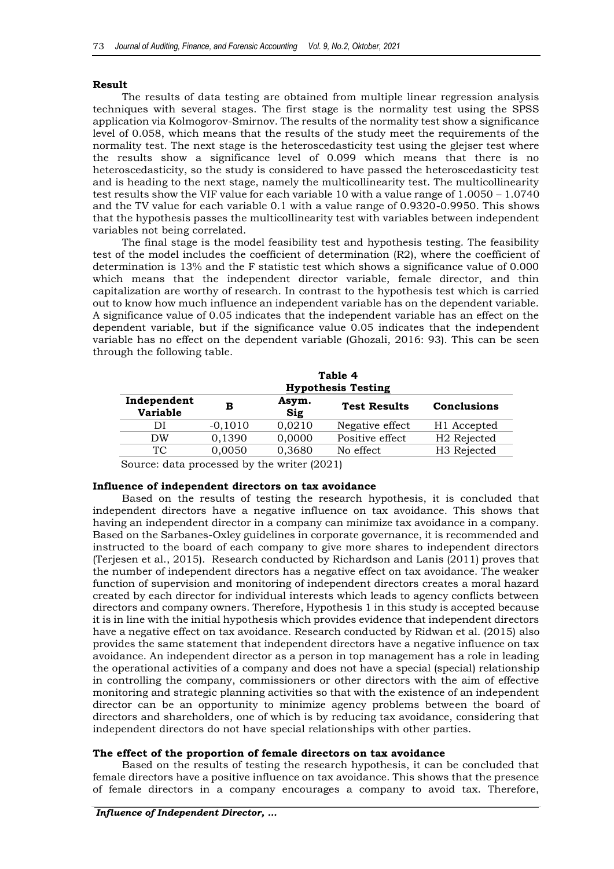## **Result**

The results of data testing are obtained from multiple linear regression analysis techniques with several stages. The first stage is the normality test using the SPSS application via Kolmogorov-Smirnov. The results of the normality test show a significance level of 0.058, which means that the results of the study meet the requirements of the normality test. The next stage is the heteroscedasticity test using the glejser test where the results show a significance level of 0.099 which means that there is no heteroscedasticity, so the study is considered to have passed the heteroscedasticity test and is heading to the next stage, namely the multicollinearity test. The multicollinearity test results show the VIF value for each variable 10 with a value range of 1.0050 – 1.0740 and the TV value for each variable 0.1 with a value range of 0.9320-0.9950. This shows that the hypothesis passes the multicollinearity test with variables between independent variables not being correlated.

The final stage is the model feasibility test and hypothesis testing. The feasibility test of the model includes the coefficient of determination (R2), where the coefficient of determination is 13% and the F statistic test which shows a significance value of 0.000 which means that the independent director variable, female director, and thin capitalization are worthy of research. In contrast to the hypothesis test which is carried out to know how much influence an independent variable has on the dependent variable. A significance value of 0.05 indicates that the independent variable has an effect on the dependent variable, but if the significance value 0.05 indicates that the independent variable has no effect on the dependent variable (Ghozali, 2016: 93). This can be seen through the following table.

| Table 4<br><b>Hypothesis Testing</b> |           |              |                     |                         |  |
|--------------------------------------|-----------|--------------|---------------------|-------------------------|--|
| Independent<br><b>Variable</b>       | в         | Asym.<br>Sig | <b>Test Results</b> | Conclusions             |  |
| ÐI                                   | $-0,1010$ | 0,0210       | Negative effect     | H1 Accepted             |  |
| DW                                   | 0,1390    | 0,0000       | Positive effect     | H <sub>2</sub> Rejected |  |
| TC                                   | 0,0050    | 0,3680       | No effect           | H <sub>3</sub> Rejected |  |

Source: data processed by the writer (2021)

## **Influence of independent directors on tax avoidance**

Based on the results of testing the research hypothesis, it is concluded that independent directors have a negative influence on tax avoidance. This shows that having an independent director in a company can minimize tax avoidance in a company. Based on the Sarbanes-Oxley guidelines in corporate governance, it is recommended and instructed to the board of each company to give more shares to independent directors (Terjesen et al., 2015). Research conducted by Richardson and Lanis (2011) proves that the number of independent directors has a negative effect on tax avoidance. The weaker function of supervision and monitoring of independent directors creates a moral hazard created by each director for individual interests which leads to agency conflicts between directors and company owners. Therefore, Hypothesis 1 in this study is accepted because it is in line with the initial hypothesis which provides evidence that independent directors have a negative effect on tax avoidance. Research conducted by Ridwan et al. (2015) also provides the same statement that independent directors have a negative influence on tax avoidance. An independent director as a person in top management has a role in leading the operational activities of a company and does not have a special (special) relationship in controlling the company, commissioners or other directors with the aim of effective monitoring and strategic planning activities so that with the existence of an independent director can be an opportunity to minimize agency problems between the board of directors and shareholders, one of which is by reducing tax avoidance, considering that independent directors do not have special relationships with other parties.

## **The effect of the proportion of female directors on tax avoidance**

Based on the results of testing the research hypothesis, it can be concluded that female directors have a positive influence on tax avoidance. This shows that the presence of female directors in a company encourages a company to avoid tax. Therefore,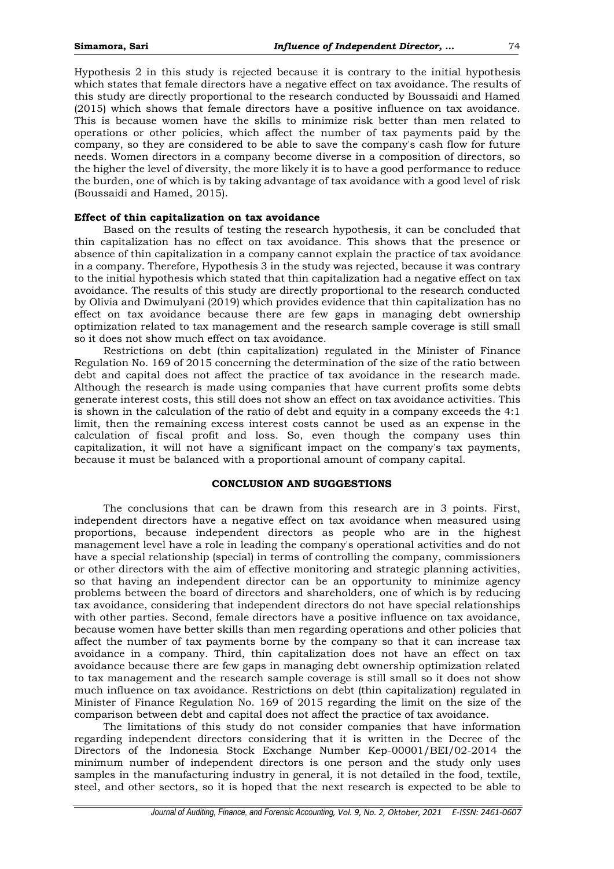Hypothesis 2 in this study is rejected because it is contrary to the initial hypothesis which states that female directors have a negative effect on tax avoidance. The results of this study are directly proportional to the research conducted by Boussaidi and Hamed (2015) which shows that female directors have a positive influence on tax avoidance. This is because women have the skills to minimize risk better than men related to operations or other policies, which affect the number of tax payments paid by the company, so they are considered to be able to save the company's cash flow for future needs. Women directors in a company become diverse in a composition of directors, so the higher the level of diversity, the more likely it is to have a good performance to reduce the burden, one of which is by taking advantage of tax avoidance with a good level of risk (Boussaidi and Hamed, 2015).

## **Effect of thin capitalization on tax avoidance**

Based on the results of testing the research hypothesis, it can be concluded that thin capitalization has no effect on tax avoidance. This shows that the presence or absence of thin capitalization in a company cannot explain the practice of tax avoidance in a company. Therefore, Hypothesis 3 in the study was rejected, because it was contrary to the initial hypothesis which stated that thin capitalization had a negative effect on tax avoidance. The results of this study are directly proportional to the research conducted by Olivia and Dwimulyani (2019) which provides evidence that thin capitalization has no effect on tax avoidance because there are few gaps in managing debt ownership optimization related to tax management and the research sample coverage is still small so it does not show much effect on tax avoidance.

Restrictions on debt (thin capitalization) regulated in the Minister of Finance Regulation No. 169 of 2015 concerning the determination of the size of the ratio between debt and capital does not affect the practice of tax avoidance in the research made. Although the research is made using companies that have current profits some debts generate interest costs, this still does not show an effect on tax avoidance activities. This is shown in the calculation of the ratio of debt and equity in a company exceeds the 4:1 limit, then the remaining excess interest costs cannot be used as an expense in the calculation of fiscal profit and loss. So, even though the company uses thin capitalization, it will not have a significant impact on the company's tax payments, because it must be balanced with a proportional amount of company capital.

## **CONCLUSION AND SUGGESTIONS**

The conclusions that can be drawn from this research are in 3 points. First, independent directors have a negative effect on tax avoidance when measured using proportions, because independent directors as people who are in the highest management level have a role in leading the company's operational activities and do not have a special relationship (special) in terms of controlling the company, commissioners or other directors with the aim of effective monitoring and strategic planning activities, so that having an independent director can be an opportunity to minimize agency problems between the board of directors and shareholders, one of which is by reducing tax avoidance, considering that independent directors do not have special relationships with other parties. Second, female directors have a positive influence on tax avoidance, because women have better skills than men regarding operations and other policies that affect the number of tax payments borne by the company so that it can increase tax avoidance in a company. Third, thin capitalization does not have an effect on tax avoidance because there are few gaps in managing debt ownership optimization related to tax management and the research sample coverage is still small so it does not show much influence on tax avoidance. Restrictions on debt (thin capitalization) regulated in Minister of Finance Regulation No. 169 of 2015 regarding the limit on the size of the comparison between debt and capital does not affect the practice of tax avoidance.

The limitations of this study do not consider companies that have information regarding independent directors considering that it is written in the Decree of the Directors of the Indonesia Stock Exchange Number Kep-00001/BEI/02-2014 the minimum number of independent directors is one person and the study only uses samples in the manufacturing industry in general, it is not detailed in the food, textile, steel, and other sectors, so it is hoped that the next research is expected to be able to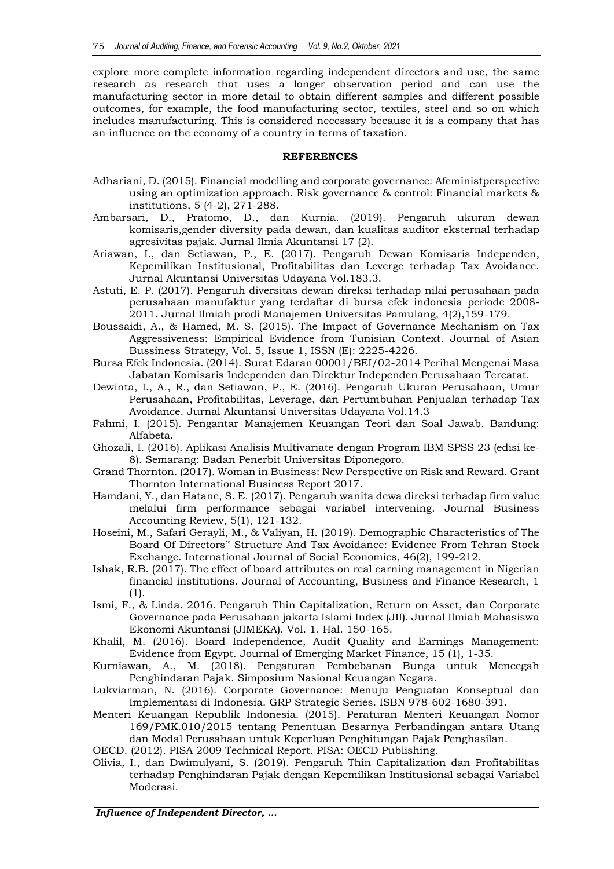explore more complete information regarding independent directors and use, the same research as research that uses a longer observation period and can use the manufacturing sector in more detail to obtain different samples and different possible outcomes, for example, the food manufacturing sector, textiles, steel and so on which includes manufacturing. This is considered necessary because it is a company that has an influence on the economy of a country in terms of taxation.

## **REFERENCES**

- Adhariani, D. (2015). Financial modelling and corporate governance: Afeministperspective using an optimization approach. Risk governance & control: Financial markets & institutions, 5 (4-2), 271-288.
- Ambarsari, D., Pratomo, D., dan Kurnia. (2019). Pengaruh ukuran dewan komisaris,gender diversity pada dewan, dan kualitas auditor eksternal terhadap agresivitas pajak. Jurnal Ilmia Akuntansi 17 (2).
- Ariawan, I., dan Setiawan, P., E. (2017). Pengaruh Dewan Komisaris Independen, Kepemilikan Institusional, Profitabilitas dan Leverge terhadap Tax Avoidance. Jurnal Akuntansi Universitas Udayana Vol.183.3.
- Astuti, E. P. (2017). Pengaruh diversitas dewan direksi terhadap nilai perusahaan pada perusahaan manufaktur yang terdaftar di bursa efek indonesia periode 2008- 2011. Jurnal Ilmiah prodi Manajemen Universitas Pamulang, 4(2),159-179.
- Boussaidi, A., & Hamed, M. S. (2015). The Impact of Governance Mechanism on Tax Aggressiveness: Empirical Evidence from Tunisian Context. Journal of Asian Bussiness Strategy, Vol. 5, Issue 1, ISSN (E): 2225-4226.
- Bursa Efek Indonesia. (2014). Surat Edaran 00001/BEI/02-2014 Perihal Mengenai Masa Jabatan Komisaris Independen dan Direktur Independen Perusahaan Tercatat.
- Dewinta, I., A., R., dan Setiawan, P., E. (2016). Pengaruh Ukuran Perusahaan, Umur Perusahaan, Profitabilitas, Leverage, dan Pertumbuhan Penjualan terhadap Tax Avoidance. Jurnal Akuntansi Universitas Udayana Vol.14.3
- Fahmi, I. (2015). Pengantar Manajemen Keuangan Teori dan Soal Jawab. Bandung: Alfabeta.
- Ghozali, I. (2016). Aplikasi Analisis Multivariate dengan Program IBM SPSS 23 (edisi ke-8). Semarang: Badan Penerbit Universitas Diponegoro.
- Grand Thornton. (2017). Woman in Business: New Perspective on Risk and Reward. Grant Thornton International Business Report 2017.
- Hamdani, Y., dan Hatane, S. E. (2017). Pengaruh wanita dewa direksi terhadap firm value melalui firm performance sebagai variabel intervening. Journal Business Accounting Review, 5(1), 121-132.
- Hoseini, M., Safari Gerayli, M., & Valiyan, H. (2019). Demographic Characteristics of The Board Of Directors" Structure And Tax Avoidance: Evidence From Tehran Stock Exchange. International Journal of Social Economics, 46(2), 199-212.
- Ishak, R.B. (2017). The effect of board attributes on real earning management in Nigerian financial institutions. Journal of Accounting, Business and Finance Research, 1 (1).
- Ismi, F., & Linda. 2016. Pengaruh Thin Capitalization, Return on Asset, dan Corporate Governance pada Perusahaan jakarta Islami Index (JII). Jurnal Ilmiah Mahasiswa Ekonomi Akuntansi (JIMEKA). Vol. 1. Hal. 150-165.
- Khalil, M. (2016). Board Independence, Audit Quality and Earnings Management: Evidence from Egypt. Journal of Emerging Market Finance, 15 (1), 1-35.
- Kurniawan, A., M. (2018). Pengaturan Pembebanan Bunga untuk Mencegah Penghindaran Pajak. Simposium Nasional Keuangan Negara.
- Lukviarman, N. (2016). Corporate Governance: Menuju Penguatan Konseptual dan Implementasi di Indonesia. GRP Strategic Series. ISBN 978-602-1680-391.
- Menteri Keuangan Republik Indonesia. (2015). Peraturan Menteri Keuangan Nomor 169/PMK.010/2015 tentang Penentuan Besarnya Perbandingan antara Utang dan Modal Perusahaan untuk Keperluan Penghitungan Pajak Penghasilan.
- OECD. (2012). PISA 2009 Technical Report. PISA: OECD Publishing.
- Olivia, I., dan Dwimulyani, S. (2019). Pengaruh Thin Capitalization dan Profitabilitas terhadap Penghindaran Pajak dengan Kepemilikan Institusional sebagai Variabel Moderasi.

*Influence of Independent Director, …*